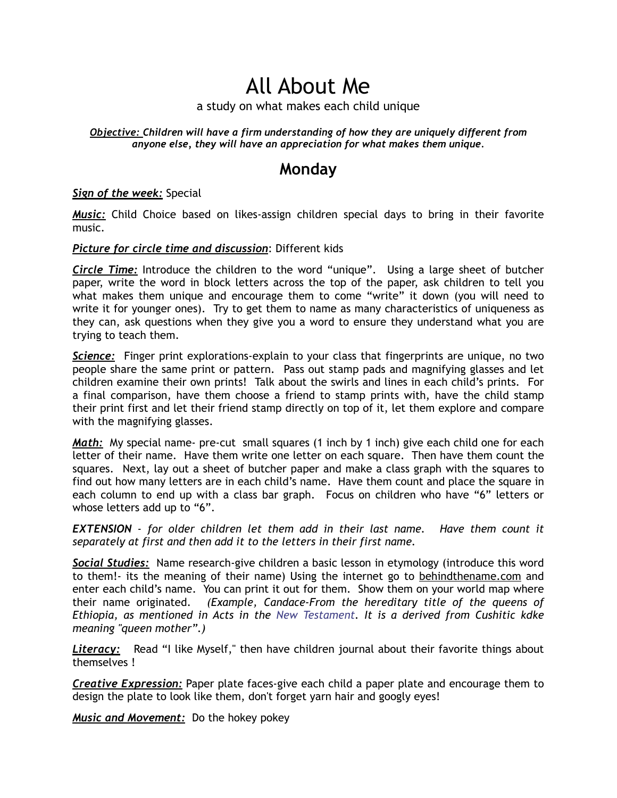# All About Me

### a study on what makes each child unique

#### *Objective: Children will have a firm understanding of how they are uniquely different from anyone else, they will have an appreciation for what makes them unique.*

### **Monday**

#### *Sign of the week:* Special

*Music:* Child Choice based on likes-assign children special days to bring in their favorite music.

#### *Picture for circle time and discussion*: Different kids

*Circle Time:* Introduce the children to the word "unique". Using a large sheet of butcher paper, write the word in block letters across the top of the paper, ask children to tell you what makes them unique and encourage them to come "write" it down (you will need to write it for younger ones). Try to get them to name as many characteristics of uniqueness as they can, ask questions when they give you a word to ensure they understand what you are trying to teach them.

*Science:* Finger print explorations-explain to your class that fingerprints are unique, no two people share the same print or pattern. Pass out stamp pads and magnifying glasses and let children examine their own prints! Talk about the swirls and lines in each child's prints. For a final comparison, have them choose a friend to stamp prints with, have the child stamp their print first and let their friend stamp directly on top of it, let them explore and compare with the magnifying glasses.

*Math:* My special name- pre-cut small squares (1 inch by 1 inch) give each child one for each letter of their name. Have them write one letter on each square. Then have them count the squares. Next, lay out a sheet of butcher paper and make a class graph with the squares to find out how many letters are in each child's name. Have them count and place the square in each column to end up with a class bar graph. Focus on children who have "6" letters or whose letters add up to "6".

*EXTENSION - for older children let them add in their last name. Have them count it separately at first and then add it to the letters in their first name.* 

*Social Studies:* Name research-give children a basic lesson in etymology (introduce this word to them!- its the meaning of their name) Using the internet go to behindthename.com and enter each child's name. You can print it out for them. Show them on your world map where their name originated. *(Example, Candace-From the hereditary title of the queens of Ethiopia, as mentioned in Acts in the New Testament. It is a derived from Cushitic kdke meaning "queen mother".)*

*Literacy:* Read "I like Myself," then have children journal about their favorite things about themselves !

*Creative Expression:* Paper plate faces-give each child a paper plate and encourage them to design the plate to look like them, don't forget yarn hair and googly eyes!

*Music and Movement:* Do the hokey pokey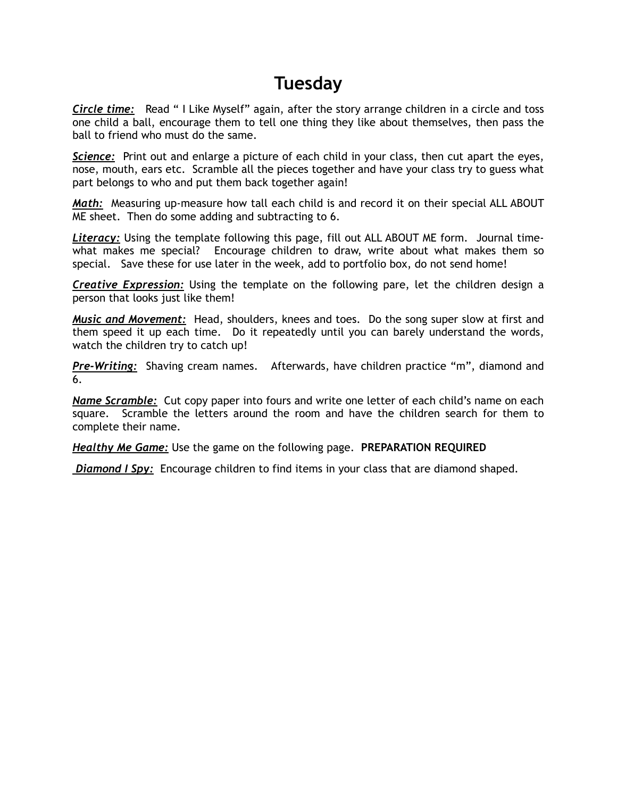### **Tuesday**

*Circle time:*Read " I Like Myself" again, after the story arrange children in a circle and toss one child a ball, encourage them to tell one thing they like about themselves, then pass the ball to friend who must do the same.

*Science:* Print out and enlarge a picture of each child in your class, then cut apart the eyes, nose, mouth, ears etc. Scramble all the pieces together and have your class try to guess what part belongs to who and put them back together again!

*Math:* Measuring up-measure how tall each child is and record it on their special ALL ABOUT ME sheet. Then do some adding and subtracting to 6.

*Literacy:* Using the template following this page, fill out ALL ABOUT ME form. Journal timewhat makes me special? Encourage children to draw, write about what makes them so special. Save these for use later in the week, add to portfolio box, do not send home!

*Creative Expression:* Using the template on the following pare, let the children design a person that looks just like them!

*Music and Movement:* Head, shoulders, knees and toes. Do the song super slow at first and them speed it up each time. Do it repeatedly until you can barely understand the words, watch the children try to catch up!

*Pre-Writing:* Shaving cream names. Afterwards, have children practice "m", diamond and 6.

*Name Scramble:* Cut copy paper into fours and write one letter of each child's name on each square. Scramble the letters around the room and have the children search for them to complete their name.

*Healthy Me Game:* Use the game on the following page. **PREPARATION REQUIRED** 

 *Diamond I Spy:* Encourage children to find items in your class that are diamond shaped.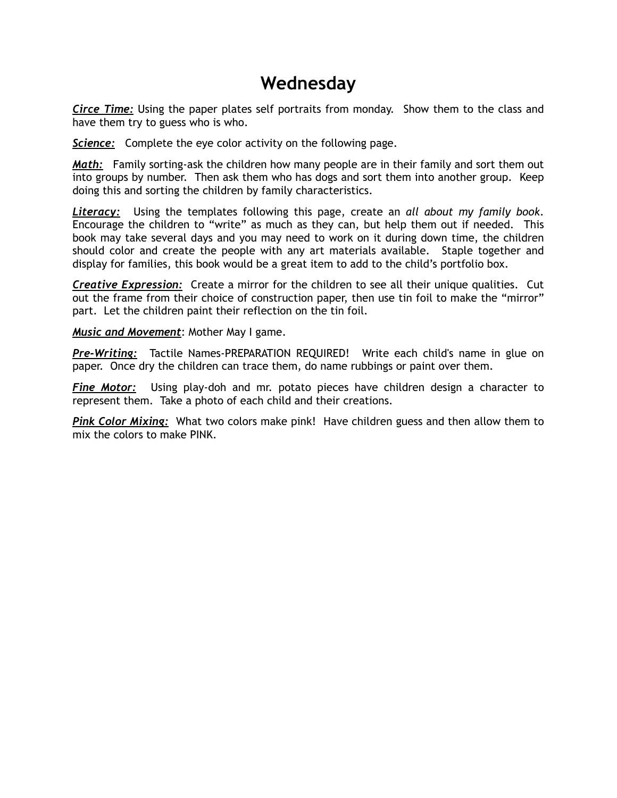### **Wednesday**

*Circe Time:* Using the paper plates self portraits from monday. Show them to the class and have them try to guess who is who.

*Science:* Complete the eye color activity on the following page.

**Math:** Family sorting-ask the children how many people are in their family and sort them out into groups by number. Then ask them who has dogs and sort them into another group. Keep doing this and sorting the children by family characteristics.

*Literacy:* Using the templates following this page, create an *all about my family book*. Encourage the children to "write" as much as they can, but help them out if needed. This book may take several days and you may need to work on it during down time, the children should color and create the people with any art materials available. Staple together and display for families, this book would be a great item to add to the child's portfolio box.

*Creative Expression:* Create a mirror for the children to see all their unique qualities. Cut out the frame from their choice of construction paper, then use tin foil to make the "mirror" part. Let the children paint their reflection on the tin foil.

*Music and Movement*: Mother May I game.

*Pre-Writing:* Tactile Names-PREPARATION REQUIRED! Write each child's name in glue on paper. Once dry the children can trace them, do name rubbings or paint over them.

*Fine Motor:* Using play-doh and mr. potato pieces have children design a character to represent them. Take a photo of each child and their creations.

*Pink Color Mixing:* What two colors make pink! Have children guess and then allow them to mix the colors to make PINK.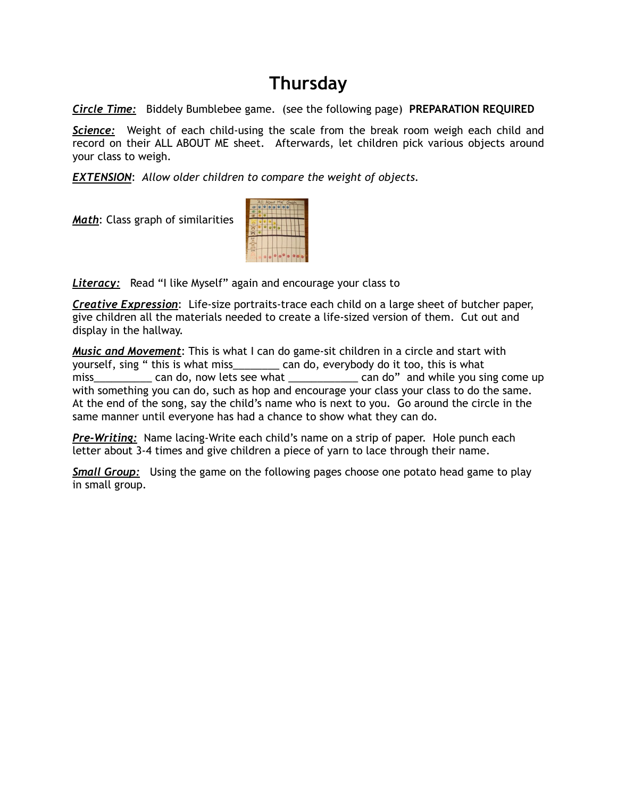## **Thursday**

*Circle Time:* Biddely Bumblebee game. (see the following page) **PREPARATION REQUIRED**

*Science:* Weight of each child-using the scale from the break room weigh each child and record on their ALL ABOUT ME sheet. Afterwards, let children pick various objects around your class to weigh.

*EXTENSION*: *Allow older children to compare the weight of objects.* 

*Math*: Class graph of similarities



*Literacy:* Read "I like Myself" again and encourage your class to

*Creative Expression*: Life-size portraits-trace each child on a large sheet of butcher paper, give children all the materials needed to create a life-sized version of them. Cut out and display in the hallway.

*Music and Movement*: This is what I can do game-sit children in a circle and start with yourself, sing " this is what miss\_\_\_\_\_\_\_\_ can do, everybody do it too, this is what miss\_\_\_\_\_\_\_\_\_\_\_ can do, now lets see what \_\_\_\_\_\_\_\_\_\_\_\_\_ can do" and while you sing come up with something you can do, such as hop and encourage your class your class to do the same. At the end of the song, say the child's name who is next to you. Go around the circle in the same manner until everyone has had a chance to show what they can do.

*Pre-Writing:* Name lacing-Write each child's name on a strip of paper. Hole punch each letter about 3-4 times and give children a piece of yarn to lace through their name.

*Small Group:* Using the game on the following pages choose one potato head game to play in small group.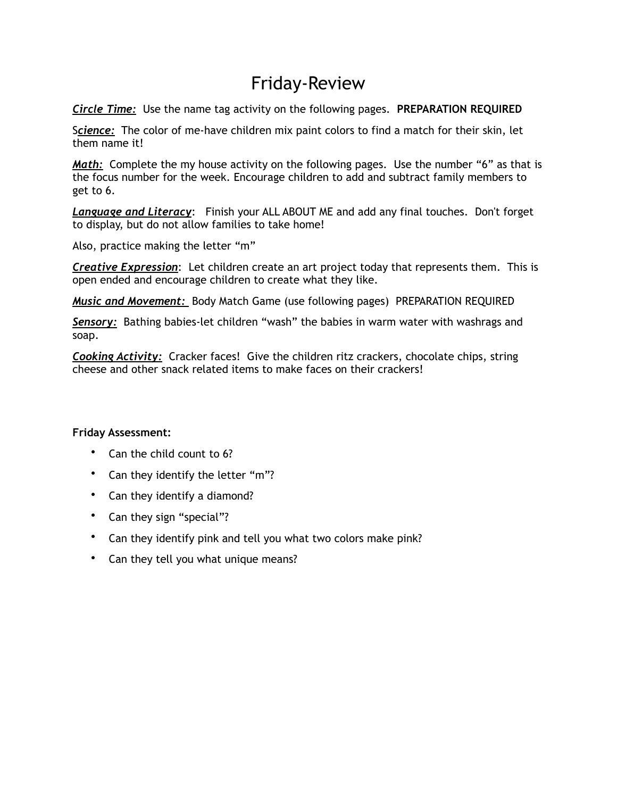## Friday-Review

*Circle Time:* Use the name tag activity on the following pages. **PREPARATION REQUIRED**

S*cience:* The color of me-have children mix paint colors to find a match for their skin, let them name it!

*Math:* Complete the my house activity on the following pages. Use the number "6" as that is the focus number for the week. Encourage children to add and subtract family members to get to 6.

*Language and Literacy*: Finish your ALL ABOUT ME and add any final touches. Don't forget to display, but do not allow families to take home!

Also, practice making the letter "m"

*Creative Expression*: Let children create an art project today that represents them. This is open ended and encourage children to create what they like.

*Music and Movement:* Body Match Game (use following pages) PREPARATION REQUIRED

*Sensory:* Bathing babies-let children "wash" the babies in warm water with washrags and soap.

*Cooking Activity:* Cracker faces! Give the children ritz crackers, chocolate chips, string cheese and other snack related items to make faces on their crackers!

#### **Friday Assessment:**

- Can the child count to 6?
- Can they identify the letter "m"?
- Can they identify a diamond?
- Can they sign "special"?
- Can they identify pink and tell you what two colors make pink?
- Can they tell you what unique means?